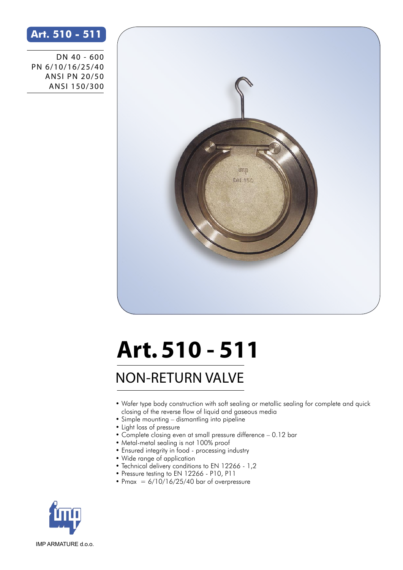## **Art. 510 - 511**

DN 40 - 600 PN 6/10/16/25/40 ANSI PN 20/50 ANSI 150/300



## **Art. 510 - 511**

## NON-RETURN VALVE

- Wafer type body construction with soft sealing or metallic sealing for complete and quick closing of the reverse flow of liquid and gaseous media
- Simple mounting dismantling into pipeline
- Light loss of pressure
- Complete closing even at small pressure difference 0.12 bar
- Metal-metal sealing is not 100% proof
- Ensured integrity in food processing industry
- Wide range of application
- Technical delivery conditions to EN 12266 1,2
- Pressure testing to EN 12266 P10, P11
- Pmax =  $6/10/16/25/40$  bar of overpressure